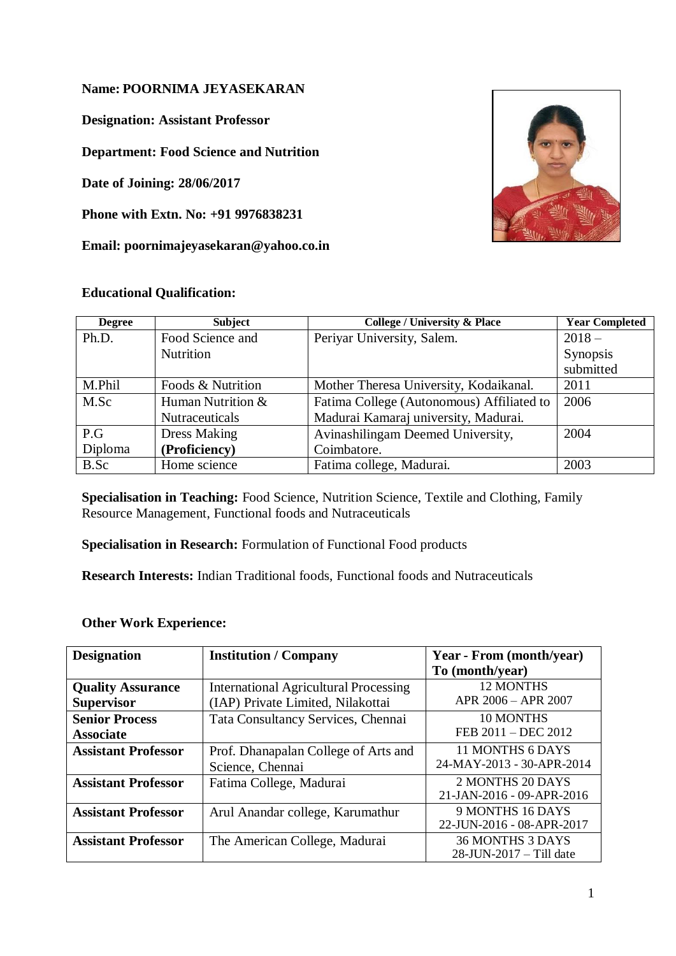### **Name: POORNIMA JEYASEKARAN**

**Designation: Assistant Professor**

**Department: Food Science and Nutrition**

**Date of Joining: 28/06/2017**

**Phone with Extn. No: +91 9976838231**

**Email: [poornimajeyasekaran@yahoo.co.in](mailto:poornimajeyasekaran@yahoo.co.in)**

## **Educational Qualification:**



| <b>Degree</b> | <b>Subject</b>        | <b>College / University &amp; Place</b>   | <b>Year Completed</b> |
|---------------|-----------------------|-------------------------------------------|-----------------------|
| Ph.D.         | Food Science and      | Periyar University, Salem.                | $2018-$               |
|               | <b>Nutrition</b>      |                                           | Synopsis              |
|               |                       |                                           | submitted             |
| M.Phil        | Foods & Nutrition     | Mother Theresa University, Kodaikanal.    | 2011                  |
| M.Sc          | Human Nutrition &     | Fatima College (Autonomous) Affiliated to | 2006                  |
|               | <b>Nutraceuticals</b> | Madurai Kamaraj university, Madurai.      |                       |
| P.G           | <b>Dress Making</b>   | Avinashilingam Deemed University,         | 2004                  |
| Diploma       | (Proficiency)         | Coimbatore.                               |                       |
| B.Sc          | Home science          | Fatima college, Madurai.                  | 2003                  |

**Specialisation in Teaching:** Food Science, Nutrition Science, Textile and Clothing, Family Resource Management, Functional foods and Nutraceuticals

**Specialisation in Research:** Formulation of Functional Food products

**Research Interests:** Indian Traditional foods, Functional foods and Nutraceuticals

#### **Other Work Experience:**

| <b>Designation</b>         | <b>Institution / Company</b>                 | Year - From (month/year)   |
|----------------------------|----------------------------------------------|----------------------------|
|                            |                                              | To (month/year)            |
| <b>Quality Assurance</b>   | <b>International Agricultural Processing</b> | <b>12 MONTHS</b>           |
| <b>Supervisor</b>          | (IAP) Private Limited, Nilakottai            | APR 2006 - APR 2007        |
| <b>Senior Process</b>      | Tata Consultancy Services, Chennai           | 10 MONTHS                  |
| <b>Associate</b>           |                                              | FEB 2011 - DEC 2012        |
| <b>Assistant Professor</b> | Prof. Dhanapalan College of Arts and         | 11 MONTHS 6 DAYS           |
|                            | Science, Chennai                             | 24-MAY-2013 - 30-APR-2014  |
| <b>Assistant Professor</b> | Fatima College, Madurai                      | 2 MONTHS 20 DAYS           |
|                            |                                              | 21-JAN-2016 - 09-APR-2016  |
| <b>Assistant Professor</b> | Arul Anandar college, Karumathur             | 9 MONTHS 16 DAYS           |
|                            |                                              | 22-JUN-2016 - 08-APR-2017  |
| <b>Assistant Professor</b> | The American College, Madurai                | <b>36 MONTHS 3 DAYS</b>    |
|                            |                                              | $28$ -JUN-2017 – Till date |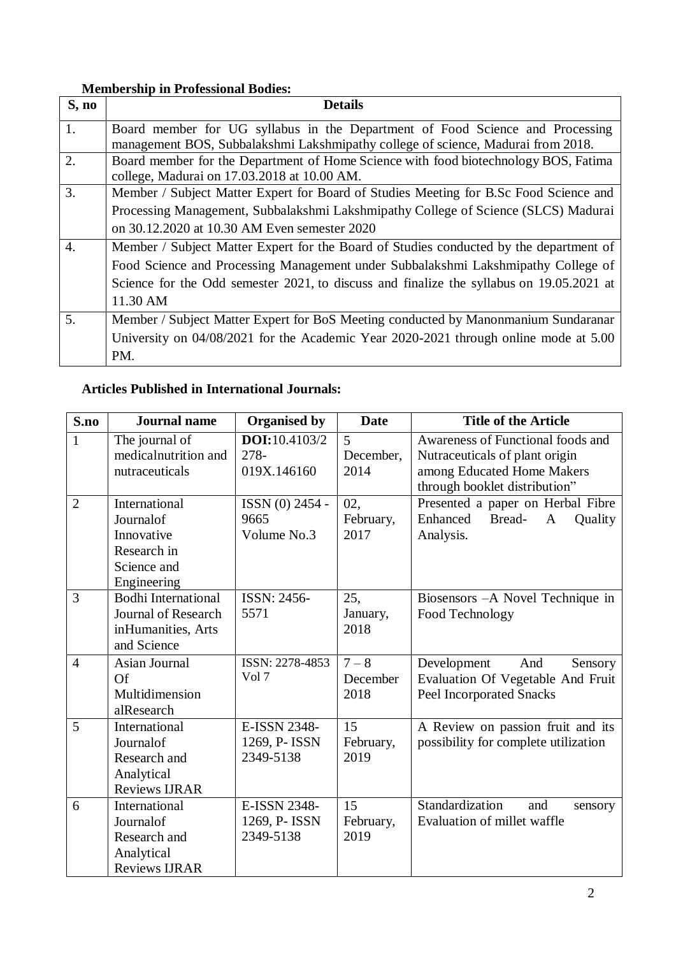# **Membership in Professional Bodies:**

| S, no            | <b>Details</b>                                                                           |  |  |  |  |
|------------------|------------------------------------------------------------------------------------------|--|--|--|--|
| 1.               | Board member for UG syllabus in the Department of Food Science and Processing            |  |  |  |  |
|                  | management BOS, Subbalakshmi Lakshmipathy college of science, Madurai from 2018.         |  |  |  |  |
| 2.               | Board member for the Department of Home Science with food biotechnology BOS, Fatima      |  |  |  |  |
|                  | college, Madurai on 17.03.2018 at 10.00 AM.                                              |  |  |  |  |
| 3.               | Member / Subject Matter Expert for Board of Studies Meeting for B.Sc Food Science and    |  |  |  |  |
|                  | Processing Management, Subbalakshmi Lakshmipathy College of Science (SLCS) Madurai       |  |  |  |  |
|                  | on 30.12.2020 at 10.30 AM Even semester 2020                                             |  |  |  |  |
| $\overline{4}$ . | Member / Subject Matter Expert for the Board of Studies conducted by the department of   |  |  |  |  |
|                  | Food Science and Processing Management under Subbalakshmi Lakshmipathy College of        |  |  |  |  |
|                  | Science for the Odd semester 2021, to discuss and finalize the syllabus on 19.05.2021 at |  |  |  |  |
|                  | 11.30 AM                                                                                 |  |  |  |  |
| 5.               | Member / Subject Matter Expert for BoS Meeting conducted by Manonmanium Sundaranar       |  |  |  |  |
|                  | University on 04/08/2021 for the Academic Year 2020-2021 through online mode at 5.00     |  |  |  |  |
|                  | PM.                                                                                      |  |  |  |  |

# **Articles Published in International Journals:**

| S.no           | <b>Journal</b> name                                                                           | <b>Organised by</b>                          | <b>Date</b>                 | <b>Title of the Article</b>                                                                                                        |
|----------------|-----------------------------------------------------------------------------------------------|----------------------------------------------|-----------------------------|------------------------------------------------------------------------------------------------------------------------------------|
| $\mathbf{1}$   | The journal of<br>medicalnutrition and<br>nutraceuticals                                      | <b>DOI:</b> 10.4103/2<br>278-<br>019X.146160 | 5<br>December,<br>2014      | Awareness of Functional foods and<br>Nutraceuticals of plant origin<br>among Educated Home Makers<br>through booklet distribution" |
| $\overline{2}$ | International<br>Journalof<br>Innovative<br>Research in<br>Science and<br>Engineering         | ISSN (0) 2454 -<br>9665<br>Volume No.3       | 02,<br>February,<br>2017    | Presented a paper on Herbal Fibre<br>Enhanced<br>Bread-<br><b>Quality</b><br>$\mathbf{A}$<br>Analysis.                             |
| 3              | <b>Bodhi International</b><br><b>Journal of Research</b><br>inHumanities, Arts<br>and Science | ISSN: 2456-<br>5571                          | 25,<br>January,<br>2018     | Biosensors - A Novel Technique in<br>Food Technology                                                                               |
| $\overline{4}$ | Asian Journal<br>Of<br>Multidimension<br>alResearch                                           | ISSN: 2278-4853<br>Vol 7                     | $7 - 8$<br>December<br>2018 | Development<br>And<br>Sensory<br>Evaluation Of Vegetable And Fruit<br><b>Peel Incorporated Snacks</b>                              |
| 5              | International<br>Journalof<br>Research and<br>Analytical<br><b>Reviews IJRAR</b>              | E-ISSN 2348-<br>1269, P- ISSN<br>2349-5138   | 15<br>February,<br>2019     | A Review on passion fruit and its<br>possibility for complete utilization                                                          |
| 6              | International<br>Journalof<br>Research and<br>Analytical<br><b>Reviews IJRAR</b>              | E-ISSN 2348-<br>1269, P- ISSN<br>2349-5138   | 15<br>February,<br>2019     | Standardization<br>and<br>sensory<br>Evaluation of millet waffle                                                                   |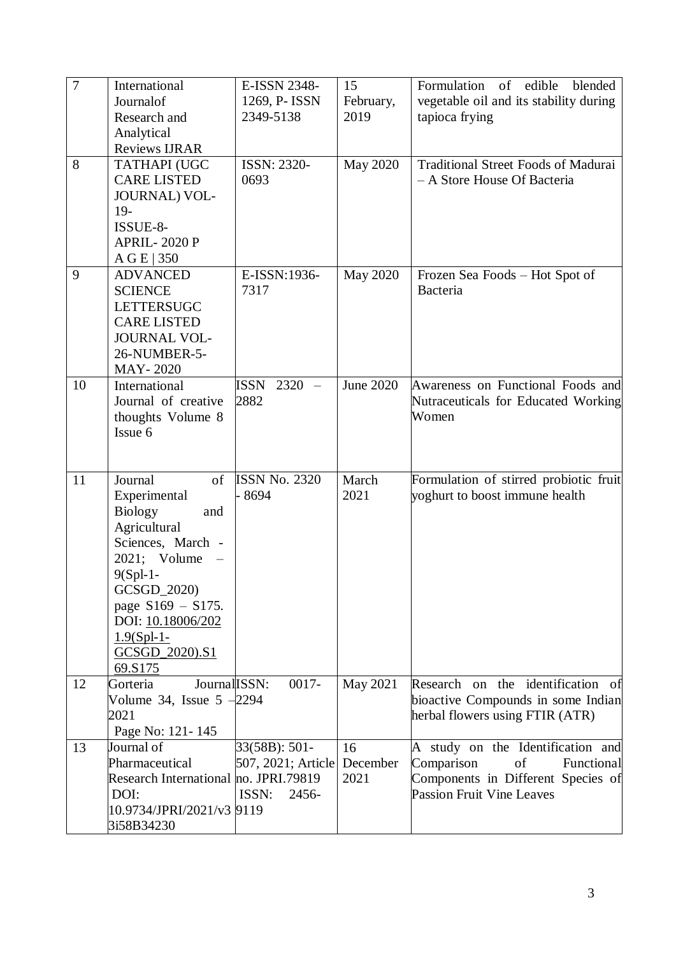| $\overline{7}$ | International                         | E-ISSN 2348-         | 15              | Formulation of edible<br>blended             |
|----------------|---------------------------------------|----------------------|-----------------|----------------------------------------------|
|                | Journalof                             | 1269, P- ISSN        | February,       | vegetable oil and its stability during       |
|                | Research and                          | 2349-5138            | 2019            | tapioca frying                               |
|                | Analytical                            |                      |                 |                                              |
|                | Reviews IJRAR                         |                      |                 |                                              |
| 8              | TATHAPI (UGC                          | ISSN: 2320-          | <b>May 2020</b> | <b>Traditional Street Foods of Madurai</b>   |
|                | <b>CARE LISTED</b>                    | 0693                 |                 | - A Store House Of Bacteria                  |
|                | <b>JOURNAL) VOL-</b>                  |                      |                 |                                              |
|                | $19-$                                 |                      |                 |                                              |
|                | ISSUE-8-                              |                      |                 |                                              |
|                | <b>APRIL-2020 P</b>                   |                      |                 |                                              |
|                | A G E   350                           |                      |                 |                                              |
| 9              | <b>ADVANCED</b>                       | E-ISSN:1936-         | <b>May 2020</b> | Frozen Sea Foods – Hot Spot of               |
|                | <b>SCIENCE</b>                        | 7317                 |                 | <b>Bacteria</b>                              |
|                | <b>LETTERSUGC</b>                     |                      |                 |                                              |
|                | <b>CARE LISTED</b>                    |                      |                 |                                              |
|                | <b>JOURNAL VOL-</b>                   |                      |                 |                                              |
|                | 26-NUMBER-5-                          |                      |                 |                                              |
|                | MAY-2020                              |                      |                 |                                              |
| 10             | International                         | ISSN 2320 -          | June 2020       | Awareness on Functional Foods and            |
|                | Journal of creative                   | 2882                 |                 | Nutraceuticals for Educated Working<br>Women |
|                | thoughts Volume 8<br>Issue 6          |                      |                 |                                              |
|                |                                       |                      |                 |                                              |
|                |                                       |                      |                 |                                              |
| 11             | Journal<br>of                         | <b>ISSN No. 2320</b> | March           | Formulation of stirred probiotic fruit       |
|                | Experimental                          | 8694                 | 2021            | yoghurt to boost immune health               |
|                | <b>Biology</b><br>and                 |                      |                 |                                              |
|                | Agricultural                          |                      |                 |                                              |
|                | Sciences, March -                     |                      |                 |                                              |
|                | 2021; Volume                          |                      |                 |                                              |
|                | $9(Spl-1-$                            |                      |                 |                                              |
|                | GCSGD_2020)                           |                      |                 |                                              |
|                | page $S169 - S175$ .                  |                      |                 |                                              |
|                | DOI: 10.18006/202                     |                      |                 |                                              |
|                | $1.9(Spl-1-$                          |                      |                 |                                              |
|                | GCSGD_2020).S1                        |                      |                 |                                              |
|                | 69.S175                               |                      |                 |                                              |
| 12             | Journal ISSN:<br>Gorteria             | $0017 -$             | May 2021        | Research on the identification of            |
|                | Volume 34, Issue $5 -2294$            |                      |                 | bioactive Compounds in some Indian           |
|                | 2021                                  |                      |                 | herbal flowers using FTIR (ATR)              |
|                | Page No: 121-145                      |                      |                 |                                              |
| 13             | Journal of                            | 33(58B): 501-        | 16              | A study on the Identification and            |
|                | Pharmaceutical                        | 507, 2021; Article   | December        | Comparison<br>of<br>Functional               |
|                | Research International no. JPRI.79819 |                      | 2021            | Components in Different Species of           |
|                | DOI:                                  | ISSN:<br>2456-       |                 | <b>Passion Fruit Vine Leaves</b>             |
|                | 10.9734/JPRI/2021/v3 9119             |                      |                 |                                              |
|                | 3i58B34230                            |                      |                 |                                              |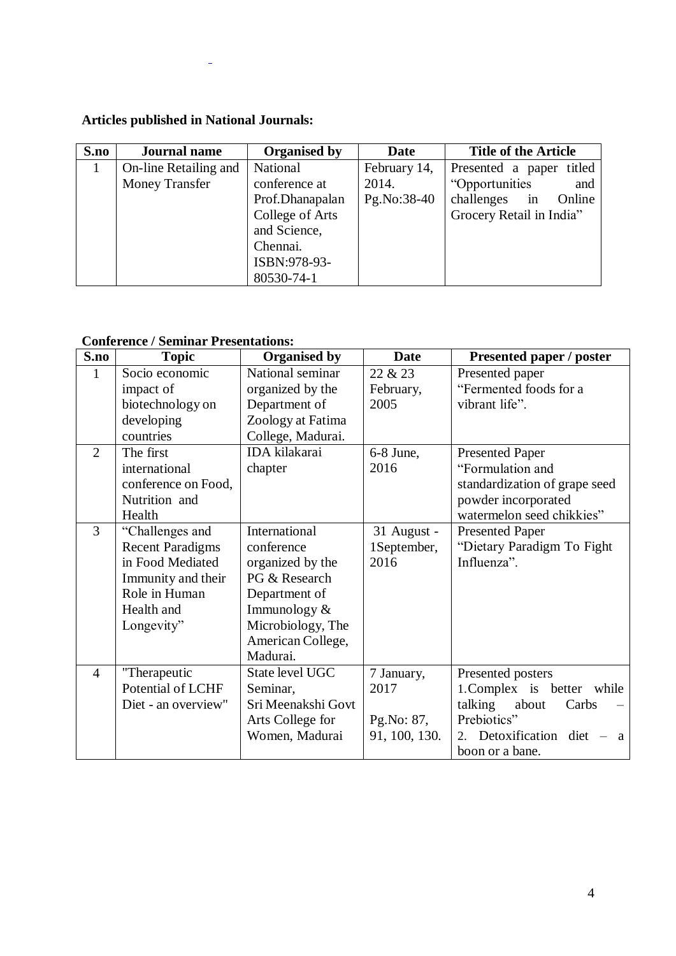# **Articles published in National Journals:**

 $\overline{\phantom{a}}$ 

| S.no | <b>Journal name</b>   | <b>Organised by</b> | <b>Date</b>  | <b>Title of the Article</b> |
|------|-----------------------|---------------------|--------------|-----------------------------|
| 1    | On-line Retailing and | National            | February 14, | Presented a paper titled    |
|      | <b>Money Transfer</b> | conference at       | 2014.        | "Opportunities<br>and       |
|      |                       | Prof.Dhanapalan     | Pg.No:38-40  | challenges<br>Online<br>in  |
|      |                       | College of Arts     |              | Grocery Retail in India"    |
|      |                       | and Science,        |              |                             |
|      |                       | Chennai.            |              |                             |
|      |                       | ISBN:978-93-        |              |                             |
|      |                       | 80530-74-1          |              |                             |

## **Conference / Seminar Presentations:**

| S.no           | <b>Topic</b>            | <b>Organised by</b>  | <b>Date</b>   | Presented paper / poster       |
|----------------|-------------------------|----------------------|---------------|--------------------------------|
| $\mathbf{1}$   | Socio economic          | National seminar     | 22 & 23       | Presented paper                |
|                | impact of               | organized by the     | February,     | "Fermented foods for a         |
|                | biotechnology on        | Department of        | 2005          | vibrant life".                 |
|                | developing              | Zoology at Fatima    |               |                                |
|                | countries               | College, Madurai.    |               |                                |
| $\overline{2}$ | The first               | <b>IDA</b> kilakarai | $6-8$ June,   | <b>Presented Paper</b>         |
|                | international           | chapter              | 2016          | "Formulation and               |
|                | conference on Food,     |                      |               | standardization of grape seed  |
|                | Nutrition and           |                      |               | powder incorporated            |
|                | Health                  |                      |               | watermelon seed chikkies"      |
| $\overline{3}$ | "Challenges and         | International        | 31 August -   | <b>Presented Paper</b>         |
|                | <b>Recent Paradigms</b> | conference           | 1September,   | "Dietary Paradigm To Fight     |
|                | in Food Mediated        | organized by the     | 2016          | Influenza".                    |
|                | Immunity and their      | PG & Research        |               |                                |
|                | Role in Human           | Department of        |               |                                |
|                | Health and              | Immunology $&$       |               |                                |
|                | Longevity"              | Microbiology, The    |               |                                |
|                |                         | American College,    |               |                                |
|                |                         | Madurai.             |               |                                |
| $\overline{4}$ | "Therapeutic            | State level UGC      | 7 January,    | Presented posters              |
|                | Potential of LCHF       | Seminar,             | 2017          | 1. Complex is better while     |
|                | Diet - an overview"     | Sri Meenakshi Govt   |               | talking<br>about<br>Carbs      |
|                |                         | Arts College for     | Pg.No: 87,    | Prebiotics"                    |
|                |                         | Women, Madurai       | 91, 100, 130. | Detoxification diet<br>2.<br>a |
|                |                         |                      |               | boon or a bane.                |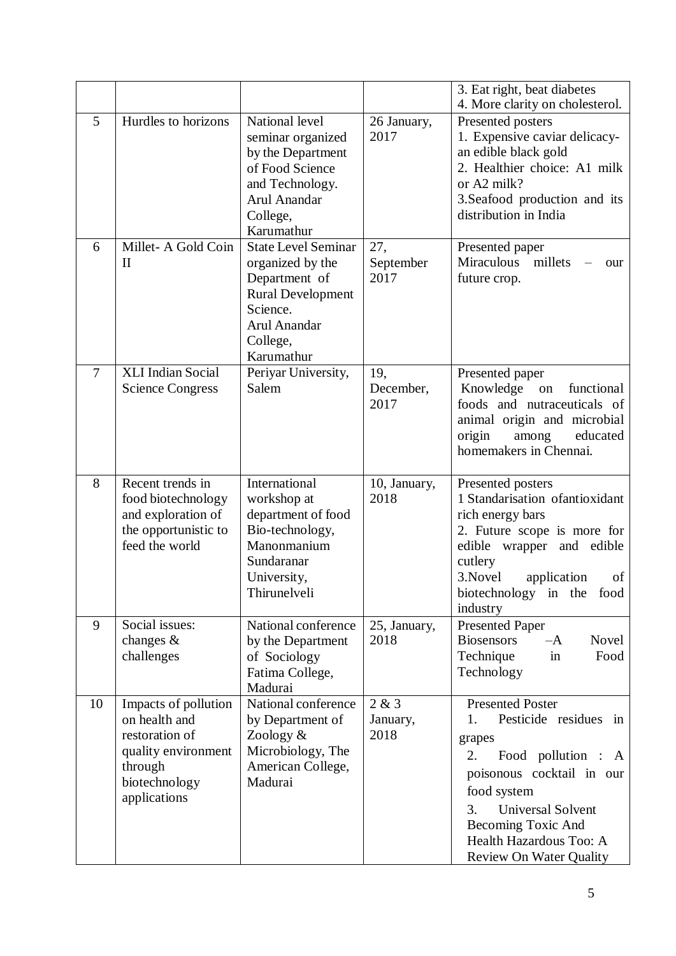|                |                                                                                                                            |                                                                                                                                                   |                           | 3. Eat right, beat diabetes<br>4. More clarity on cholesterol.                                                                                                                                                               |
|----------------|----------------------------------------------------------------------------------------------------------------------------|---------------------------------------------------------------------------------------------------------------------------------------------------|---------------------------|------------------------------------------------------------------------------------------------------------------------------------------------------------------------------------------------------------------------------|
| 5              | Hurdles to horizons                                                                                                        | National level<br>seminar organized<br>by the Department<br>of Food Science<br>and Technology.<br>Arul Anandar<br>College,<br>Karumathur          | 26 January,<br>2017       | Presented posters<br>1. Expensive caviar delicacy-<br>an edible black gold<br>2. Healthier choice: A1 milk<br>or A2 milk?<br>3. Seafood production and its<br>distribution in India                                          |
| 6              | Millet-A Gold Coin<br>$\mathbf{I}$                                                                                         | <b>State Level Seminar</b><br>organized by the<br>Department of<br><b>Rural Development</b><br>Science.<br>Arul Anandar<br>College,<br>Karumathur | 27,<br>September<br>2017  | Presented paper<br>Miraculous<br>millets<br>our<br>future crop.                                                                                                                                                              |
| $\overline{7}$ | XLI Indian Social<br><b>Science Congress</b>                                                                               | Periyar University,<br>Salem                                                                                                                      | 19,<br>December,<br>2017  | Presented paper<br>Knowledge<br>functional<br>${\bf on}$<br>foods and nutraceuticals of<br>animal origin and microbial<br>origin<br>among<br>educated<br>homemakers in Chennai.                                              |
| 8              | Recent trends in<br>food biotechnology<br>and exploration of<br>the opportunistic to<br>feed the world                     | International<br>workshop at<br>department of food<br>Bio-technology,<br>Manonmanium<br>Sundaranar<br>University,<br>Thirunelveli                 | 10, January,<br>2018      | Presented posters<br>1 Standarisation of antioxidant<br>rich energy bars<br>2. Future scope is more for<br>edible<br>wrapper and edible<br>cutlery<br>3. Novel<br>application<br>of<br>biotechnology in the food<br>industry |
| 9              | Social issues:<br>changes $\&$<br>challenges                                                                               | National conference<br>by the Department<br>of Sociology<br>Fatima College,<br>Madurai                                                            | 25, January,<br>2018      | <b>Presented Paper</b><br><b>Biosensors</b><br>Novel<br>$-A$<br>Technique<br>Food<br>in<br>Technology                                                                                                                        |
| 10             | Impacts of pollution<br>on health and<br>restoration of<br>quality environment<br>through<br>biotechnology<br>applications | National conference<br>by Department of<br>Zoology &<br>Microbiology, The<br>American College,<br>Madurai                                         | 2 & 3<br>January,<br>2018 | <b>Presented Poster</b><br>Pesticide residues<br>1.<br>in<br>grapes<br>2.<br>Food pollution : A<br>poisonous cocktail in our<br>food system<br><b>Universal Solvent</b><br>3.                                                |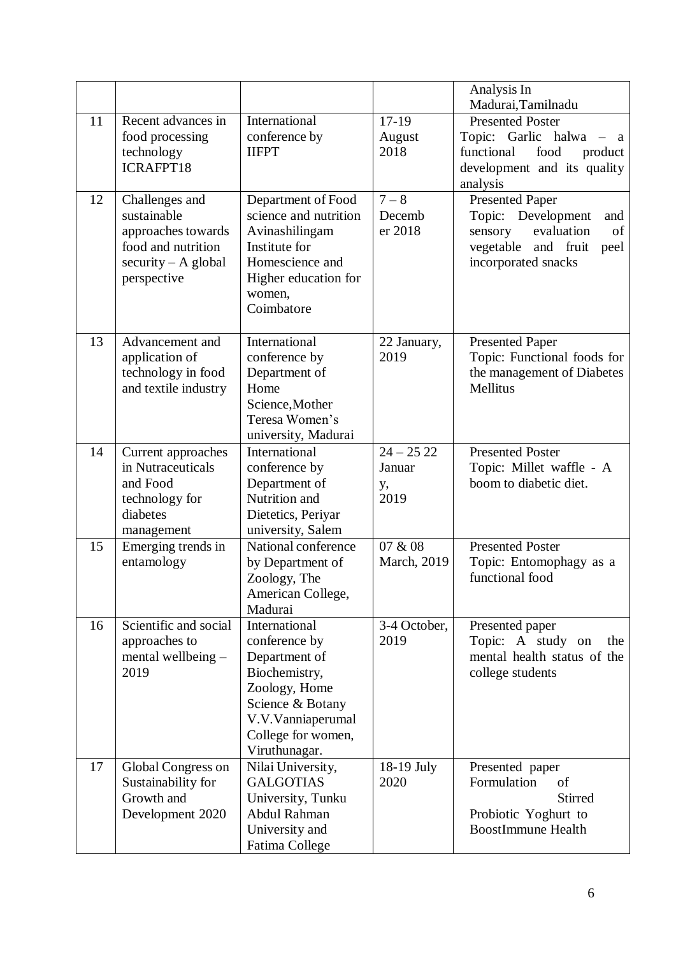|    |                                                                                                                   |                                                                                                                                                                   |                                     | Analysis In<br>Madurai, Tamilnadu                                                                                                           |
|----|-------------------------------------------------------------------------------------------------------------------|-------------------------------------------------------------------------------------------------------------------------------------------------------------------|-------------------------------------|---------------------------------------------------------------------------------------------------------------------------------------------|
| 11 | Recent advances in<br>food processing<br>technology<br>ICRAFPT18                                                  | International<br>conference by<br><b>IIFPT</b>                                                                                                                    | $17-19$<br>August<br>2018           | <b>Presented Poster</b><br>Topic: Garlic halwa<br>a a<br>functional<br>food<br>product<br>development and its quality<br>analysis           |
| 12 | Challenges and<br>sustainable<br>approaches towards<br>food and nutrition<br>$security - A global$<br>perspective | Department of Food<br>science and nutrition<br>Avinashilingam<br>Institute for<br>Homescience and<br>Higher education for<br>women,<br>Coimbatore                 | $7 - 8$<br>Decemb<br>er 2018        | <b>Presented Paper</b><br>Topic: Development<br>and<br>evaluation<br>sensory<br>of<br>vegetable<br>and fruit<br>peel<br>incorporated snacks |
| 13 | Advancement and<br>application of<br>technology in food<br>and textile industry                                   | International<br>conference by<br>Department of<br>Home<br>Science, Mother<br>Teresa Women's<br>university, Madurai                                               | 22 January,<br>2019                 | <b>Presented Paper</b><br>Topic: Functional foods for<br>the management of Diabetes<br>Mellitus                                             |
| 14 | Current approaches<br>in Nutraceuticals<br>and Food<br>technology for<br>diabetes<br>management                   | International<br>conference by<br>Department of<br>Nutrition and<br>Dietetics, Periyar<br>university, Salem                                                       | $24 - 2522$<br>Januar<br>у,<br>2019 | <b>Presented Poster</b><br>Topic: Millet waffle - A<br>boom to diabetic diet.                                                               |
| 15 | Emerging trends in<br>entamology                                                                                  | National conference<br>by Department of<br>Zoology, The<br>American College,<br>Madurai                                                                           | 07 & 08<br>March, 2019              | <b>Presented Poster</b><br>Topic: Entomophagy as a<br>functional food                                                                       |
| 16 | Scientific and social<br>approaches to<br>mental wellbeing -<br>2019                                              | International<br>conference by<br>Department of<br>Biochemistry,<br>Zoology, Home<br>Science & Botany<br>V.V.Vanniaperumal<br>College for women,<br>Viruthunagar. | 3-4 October,<br>2019                | Presented paper<br>Topic: A study on<br>the<br>mental health status of the<br>college students                                              |
| 17 | Global Congress on<br>Sustainability for<br>Growth and<br>Development 2020                                        | Nilai University,<br><b>GALGOTIAS</b><br>University, Tunku<br>Abdul Rahman<br>University and<br>Fatima College                                                    | 18-19 July<br>2020                  | Presented paper<br>Formulation<br>of<br><b>Stirred</b><br>Probiotic Yoghurt to<br><b>BoostImmune Health</b>                                 |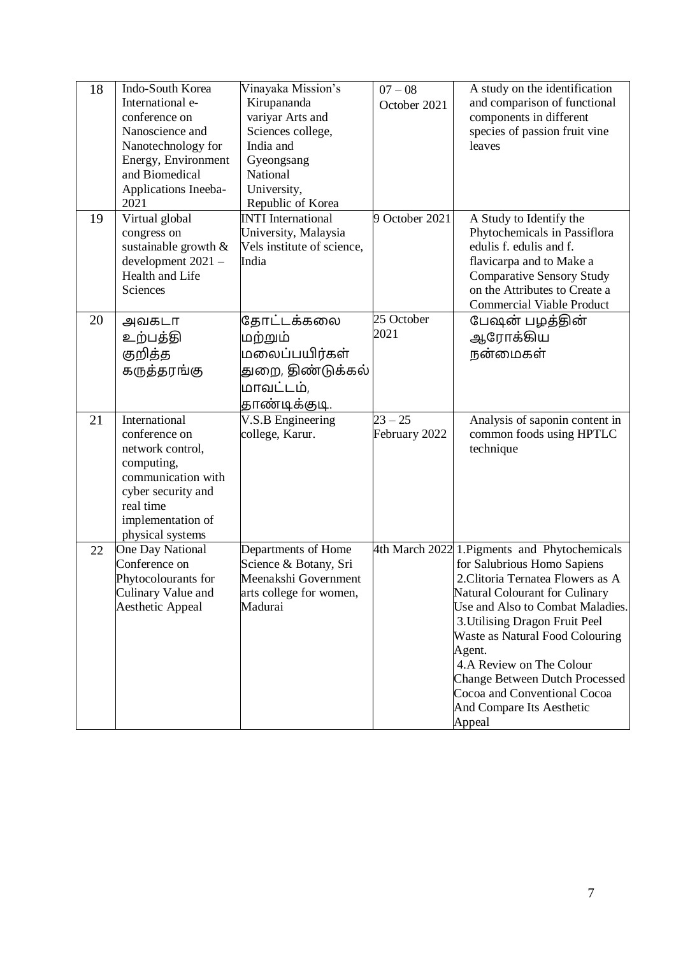| 18 | Indo-South Korea<br>International e-<br>conference on<br>Nanoscience and<br>Nanotechnology for<br>Energy, Environment<br>and Biomedical<br>Applications Ineeba-<br>2021 | Vinayaka Mission's<br>Kirupananda<br>variyar Arts and<br>Sciences college,<br>India and<br>Gyeongsang<br>National<br>University,<br>Republic of Korea | $07 - 08$<br>October 2021  | A study on the identification<br>and comparison of functional<br>components in different<br>species of passion fruit vine<br>leaves                                                                                                                                                                                                                                                                         |
|----|-------------------------------------------------------------------------------------------------------------------------------------------------------------------------|-------------------------------------------------------------------------------------------------------------------------------------------------------|----------------------------|-------------------------------------------------------------------------------------------------------------------------------------------------------------------------------------------------------------------------------------------------------------------------------------------------------------------------------------------------------------------------------------------------------------|
| 19 | Virtual global<br>congress on<br>sustainable growth $\&$<br>development 2021 -<br>Health and Life<br>Sciences                                                           | <b>INTI</b> International<br>University, Malaysia<br>Vels institute of science,<br>India                                                              | 9 October 2021             | A Study to Identify the<br>Phytochemicals in Passiflora<br>edulis f. edulis and f.<br>flavicarpa and to Make a<br><b>Comparative Sensory Study</b><br>on the Attributes to Create a<br><b>Commercial Viable Product</b>                                                                                                                                                                                     |
| 20 | அவகடா<br>உற்பத்தி<br>குறித்த<br>கருத்தரங்கு                                                                                                                             | தோட்டக்கலை<br>மற்றும்<br>மலைப்பயிர்கள்<br>துறை, திண்டுக்கல்<br>மாவட்டம்,<br>தாண்டிக்குடி.                                                             | 25 October<br>2021         | பேஷன் பழத்தின்<br>ஆரோக்கிய<br>நன்மைகள்                                                                                                                                                                                                                                                                                                                                                                      |
| 21 | International<br>conference on<br>network control,<br>computing,<br>communication with<br>cyber security and<br>real time<br>implementation of<br>physical systems      | V.S.B Engineering<br>college, Karur.                                                                                                                  | $23 - 25$<br>February 2022 | Analysis of saponin content in<br>common foods using HPTLC<br>technique                                                                                                                                                                                                                                                                                                                                     |
| 22 | <b>One Day National</b><br>Conference on<br>Phytocolourants for<br>Culinary Value and<br>Aesthetic Appeal                                                               | Departments of Home<br>Science & Botany, Sri<br>Meenakshi Government<br>arts college for women,<br>Madurai                                            |                            | 4th March 2022 1. Pigments and Phytochemicals<br>for Salubrious Homo Sapiens<br>2. Clitoria Ternatea Flowers as A<br>Natural Colourant for Culinary<br>Use and Also to Combat Maladies.<br>3. Utilising Dragon Fruit Peel<br>Waste as Natural Food Colouring<br>Agent.<br>4.A Review on The Colour<br>Change Between Dutch Processed<br>Cocoa and Conventional Cocoa<br>And Compare Its Aesthetic<br>Appeal |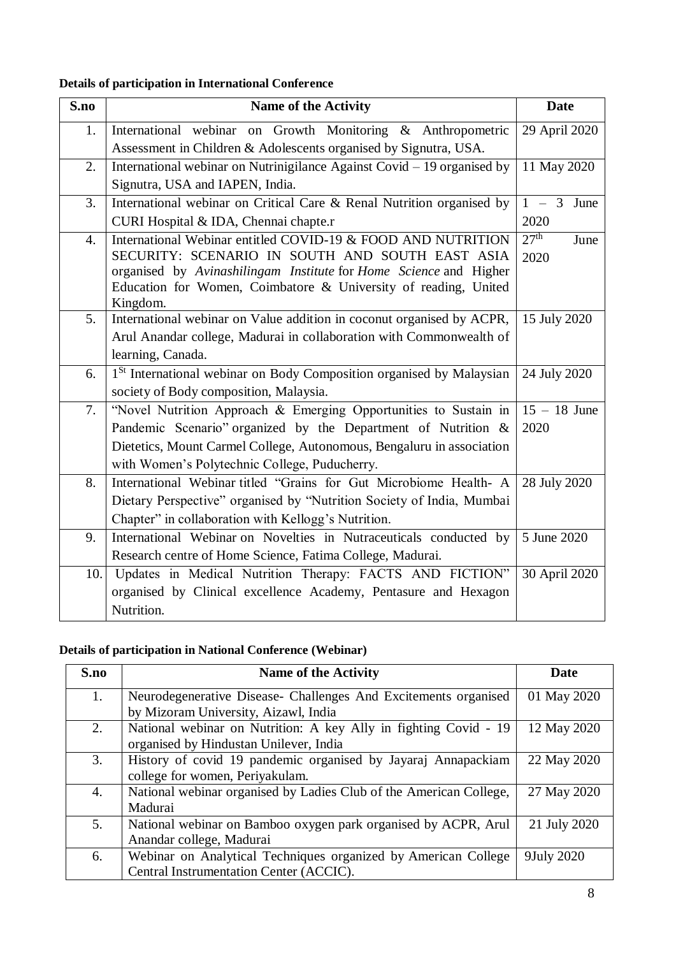# **Details of participation in International Conference**

| S.no             | <b>Name of the Activity</b>                                                                                                          | <b>Date</b>              |
|------------------|--------------------------------------------------------------------------------------------------------------------------------------|--------------------------|
| 1.               | International webinar on Growth Monitoring & Anthropometric                                                                          | 29 April 2020            |
|                  | Assessment in Children & Adolescents organised by Signutra, USA.                                                                     |                          |
| 2.               | International webinar on Nutrinigilance Against Covid - 19 organised by                                                              | 11 May 2020              |
|                  | Signutra, USA and IAPEN, India.                                                                                                      |                          |
| 3.               | International webinar on Critical Care & Renal Nutrition organised by                                                                | $1 - 3$<br>June          |
|                  | CURI Hospital & IDA, Chennai chapte.r                                                                                                | 2020                     |
| $\overline{4}$ . | International Webinar entitled COVID-19 & FOOD AND NUTRITION                                                                         | 27 <sup>th</sup><br>June |
|                  | SECURITY: SCENARIO IN SOUTH AND SOUTH EAST ASIA                                                                                      | 2020                     |
|                  | organised by Avinashilingam Institute for Home Science and Higher<br>Education for Women, Coimbatore & University of reading, United |                          |
|                  | Kingdom.                                                                                                                             |                          |
| 5.               | International webinar on Value addition in coconut organised by ACPR,                                                                | 15 July 2020             |
|                  | Arul Anandar college, Madurai in collaboration with Commonwealth of                                                                  |                          |
|                  | learning, Canada.                                                                                                                    |                          |
| 6.               | 1 <sup>St</sup> International webinar on Body Composition organised by Malaysian                                                     | 24 July 2020             |
|                  | society of Body composition, Malaysia.                                                                                               |                          |
| 7.               | "Novel Nutrition Approach & Emerging Opportunities to Sustain in                                                                     | $15 - 18$ June           |
|                  | Pandemic Scenario" organized by the Department of Nutrition &                                                                        | 2020                     |
|                  | Dietetics, Mount Carmel College, Autonomous, Bengaluru in association                                                                |                          |
|                  | with Women's Polytechnic College, Puducherry.                                                                                        |                          |
| 8.               | International Webinar titled "Grains for Gut Microbiome Health- A                                                                    | 28 July 2020             |
|                  | Dietary Perspective" organised by "Nutrition Society of India, Mumbai                                                                |                          |
|                  | Chapter" in collaboration with Kellogg's Nutrition.                                                                                  |                          |
| 9.               | International Webinar on Novelties in Nutraceuticals conducted by                                                                    | 5 June 2020              |
|                  | Research centre of Home Science, Fatima College, Madurai.                                                                            |                          |
| 10.              | Updates in Medical Nutrition Therapy: FACTS AND FICTION"                                                                             | 30 April 2020            |
|                  | organised by Clinical excellence Academy, Pentasure and Hexagon                                                                      |                          |
|                  | Nutrition.                                                                                                                           |                          |

# **Details of participation in National Conference (Webinar)**

| S.no | <b>Name of the Activity</b>                                        | Date         |
|------|--------------------------------------------------------------------|--------------|
| 1.   | Neurodegenerative Disease- Challenges And Excitements organised    | 01 May 2020  |
|      | by Mizoram University, Aizawl, India                               |              |
| 2.   | National webinar on Nutrition: A key Ally in fighting Covid - 19   | 12 May 2020  |
|      | organised by Hindustan Unilever, India                             |              |
| 3.   | History of covid 19 pandemic organised by Jayaraj Annapackiam      | 22 May 2020  |
|      | college for women, Periyakulam.                                    |              |
| 4.   | National webinar organised by Ladies Club of the American College, | 27 May 2020  |
|      | Madurai                                                            |              |
| 5.   | National webinar on Bamboo oxygen park organised by ACPR, Arul     | 21 July 2020 |
|      | Anandar college, Madurai                                           |              |
| 6.   | Webinar on Analytical Techniques organized by American College     | 9July 2020   |
|      | Central Instrumentation Center (ACCIC).                            |              |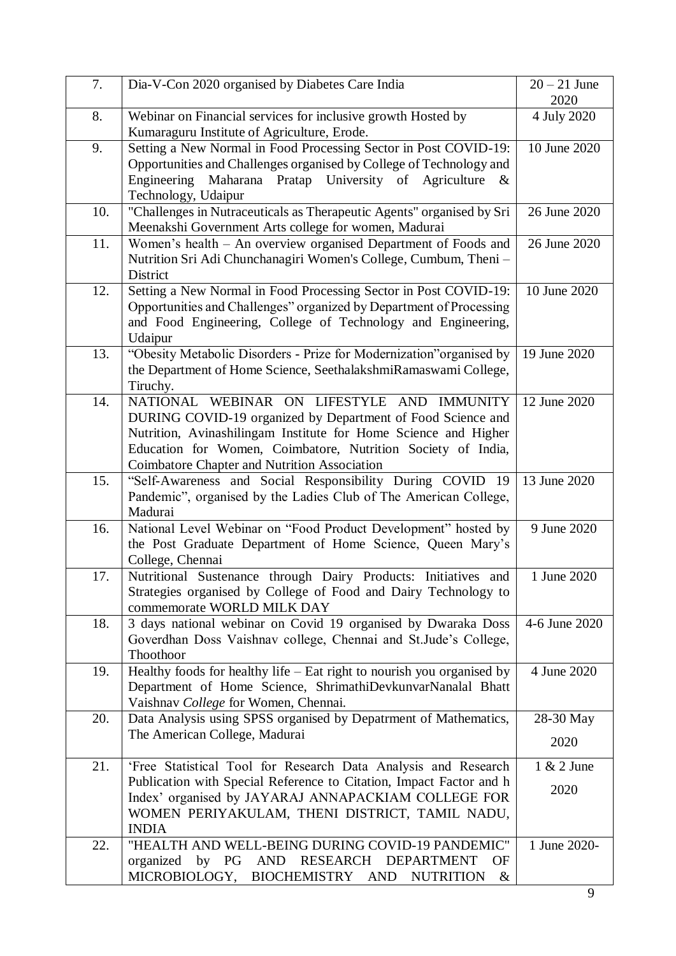| 7.  | Dia-V-Con 2020 organised by Diabetes Care India                                                                                                                                                                                                                                                        | $20 - 21$ June<br>2020 |
|-----|--------------------------------------------------------------------------------------------------------------------------------------------------------------------------------------------------------------------------------------------------------------------------------------------------------|------------------------|
| 8.  | Webinar on Financial services for inclusive growth Hosted by<br>Kumaraguru Institute of Agriculture, Erode.                                                                                                                                                                                            | 4 July 2020            |
| 9.  | Setting a New Normal in Food Processing Sector in Post COVID-19:<br>Opportunities and Challenges organised by College of Technology and<br>Maharana Pratap University of Agriculture<br>Engineering<br>$\&$<br>Technology, Udaipur                                                                     | 10 June 2020           |
| 10. | "Challenges in Nutraceuticals as Therapeutic Agents" organised by Sri<br>Meenakshi Government Arts college for women, Madurai                                                                                                                                                                          | 26 June 2020           |
| 11. | Women's health – An overview organised Department of Foods and<br>Nutrition Sri Adi Chunchanagiri Women's College, Cumbum, Theni –<br>District                                                                                                                                                         | 26 June 2020           |
| 12. | Setting a New Normal in Food Processing Sector in Post COVID-19:<br>Opportunities and Challenges" organized by Department of Processing<br>and Food Engineering, College of Technology and Engineering,<br>Udaipur                                                                                     | 10 June 2020           |
| 13. | "Obesity Metabolic Disorders - Prize for Modernization" organised by<br>the Department of Home Science, SeethalakshmiRamaswami College,<br>Tiruchy.                                                                                                                                                    | 19 June 2020           |
| 14. | NATIONAL WEBINAR ON LIFESTYLE AND<br><b>IMMUNITY</b><br>DURING COVID-19 organized by Department of Food Science and<br>Nutrition, Avinashilingam Institute for Home Science and Higher<br>Education for Women, Coimbatore, Nutrition Society of India,<br>Coimbatore Chapter and Nutrition Association | 12 June 2020           |
| 15. | "Self-Awareness and Social Responsibility During COVID 19<br>Pandemic", organised by the Ladies Club of The American College,<br>Madurai                                                                                                                                                               | 13 June 2020           |
| 16. | National Level Webinar on "Food Product Development" hosted by<br>the Post Graduate Department of Home Science, Queen Mary's<br>College, Chennai                                                                                                                                                       | 9 June 2020            |
| 17. | Nutritional Sustenance through Dairy Products: Initiatives and<br>Strategies organised by College of Food and Dairy Technology to<br>commemorate WORLD MILK DAY                                                                                                                                        | 1 June 2020            |
| 18. | 3 days national webinar on Covid 19 organised by Dwaraka Doss<br>Goverdhan Doss Vaishnav college, Chennai and St.Jude's College,<br>Thoothoor                                                                                                                                                          | 4-6 June 2020          |
| 19. | Healthy foods for healthy life $-$ Eat right to nourish you organised by<br>Department of Home Science, ShrimathiDevkunvarNanalal Bhatt<br>Vaishnav College for Women, Chennai.                                                                                                                        | 4 June 2020            |
| 20. | Data Analysis using SPSS organised by Depatrment of Mathematics,                                                                                                                                                                                                                                       | 28-30 May              |
|     | The American College, Madurai                                                                                                                                                                                                                                                                          | 2020                   |
| 21. | 'Free Statistical Tool for Research Data Analysis and Research<br>Publication with Special Reference to Citation, Impact Factor and h<br>Index' organised by JAYARAJ ANNAPACKIAM COLLEGE FOR<br>WOMEN PERIYAKULAM, THENI DISTRICT, TAMIL NADU,<br><b>INDIA</b>                                         | $1 & 2$ June<br>2020   |
| 22. | "HEALTH AND WELL-BEING DURING COVID-19 PANDEMIC"<br>RESEARCH<br><b>DEPARTMENT</b><br>organized<br>by<br>AND<br>PG<br>OF<br>MICROBIOLOGY,<br><b>BIOCHEMISTRY</b><br><b>AND</b><br><b>NUTRITION</b><br>&                                                                                                 | 1 June 2020-           |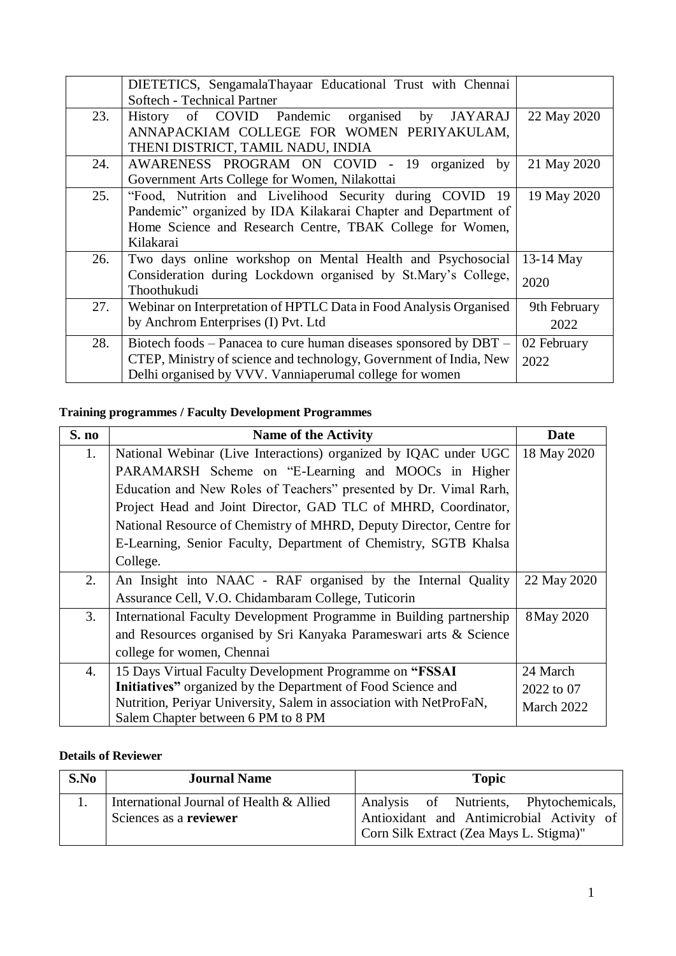|     | DIETETICS, SengamalaThayaar Educational Trust with Chennai         |              |
|-----|--------------------------------------------------------------------|--------------|
|     | Softech - Technical Partner                                        |              |
| 23. | History of COVID Pandemic organised<br>by JAYARAJ                  | 22 May 2020  |
|     | ANNAPACKIAM COLLEGE FOR WOMEN PERIYAKULAM,                         |              |
|     | THENI DISTRICT, TAMIL NADU, INDIA                                  |              |
| 24. | AWARENESS PROGRAM ON COVID - 19 organized by                       | 21 May 2020  |
|     | Government Arts College for Women, Nilakottai                      |              |
| 25. | "Food, Nutrition and Livelihood Security during COVID 19           | 19 May 2020  |
|     | Pandemic" organized by IDA Kilakarai Chapter and Department of     |              |
|     | Home Science and Research Centre, TBAK College for Women,          |              |
|     | Kilakarai                                                          |              |
| 26. | Two days online workshop on Mental Health and Psychosocial         | 13-14 May    |
|     | Consideration during Lockdown organised by St.Mary's College,      | 2020         |
|     | Thoothukudi                                                        |              |
| 27. | Webinar on Interpretation of HPTLC Data in Food Analysis Organised | 9th February |
|     | by Anchrom Enterprises (I) Pvt. Ltd                                | 2022         |
| 28. | Biotech foods – Panacea to cure human diseases sponsored by DBT –  | 02 February  |
|     | CTEP, Ministry of science and technology, Government of India, New | 2022         |
|     | Delhi organised by VVV. Vanniaperumal college for women            |              |

## **Training programmes / Faculty Development Programmes**

| S. no | <b>Name of the Activity</b>                                         | <b>Date</b> |
|-------|---------------------------------------------------------------------|-------------|
| 1.    | National Webinar (Live Interactions) organized by IQAC under UGC    | 18 May 2020 |
|       | PARAMARSH Scheme on "E-Learning and MOOCs in Higher                 |             |
|       | Education and New Roles of Teachers" presented by Dr. Vimal Rarh,   |             |
|       | Project Head and Joint Director, GAD TLC of MHRD, Coordinator,      |             |
|       | National Resource of Chemistry of MHRD, Deputy Director, Centre for |             |
|       | E-Learning, Senior Faculty, Department of Chemistry, SGTB Khalsa    |             |
|       | College.                                                            |             |
| 2.    | An Insight into NAAC - RAF organised by the Internal Quality        | 22 May 2020 |
|       | Assurance Cell, V.O. Chidambaram College, Tuticorin                 |             |
| 3.    | International Faculty Development Programme in Building partnership | 8 May 2020  |
|       | and Resources organised by Sri Kanyaka Parameswari arts & Science   |             |
|       | college for women, Chennai                                          |             |
| 4.    | 15 Days Virtual Faculty Development Programme on "FSSAI             | 24 March    |
|       | Initiatives" organized by the Department of Food Science and        | 2022 to 07  |
|       | Nutrition, Periyar University, Salem in association with NetProFaN, | March 2022  |
|       | Salem Chapter between 6 PM to 8 PM                                  |             |

## **Details of Reviewer**

| S.No | <b>Journal Name</b>                                                | <b>Topic</b>                                                                                                                   |
|------|--------------------------------------------------------------------|--------------------------------------------------------------------------------------------------------------------------------|
|      | International Journal of Health & Allied<br>Sciences as a reviewer | Analysis of Nutrients, Phytochemicals,<br>Antioxidant and Antimicrobial Activity of<br>Corn Silk Extract (Zea Mays L. Stigma)" |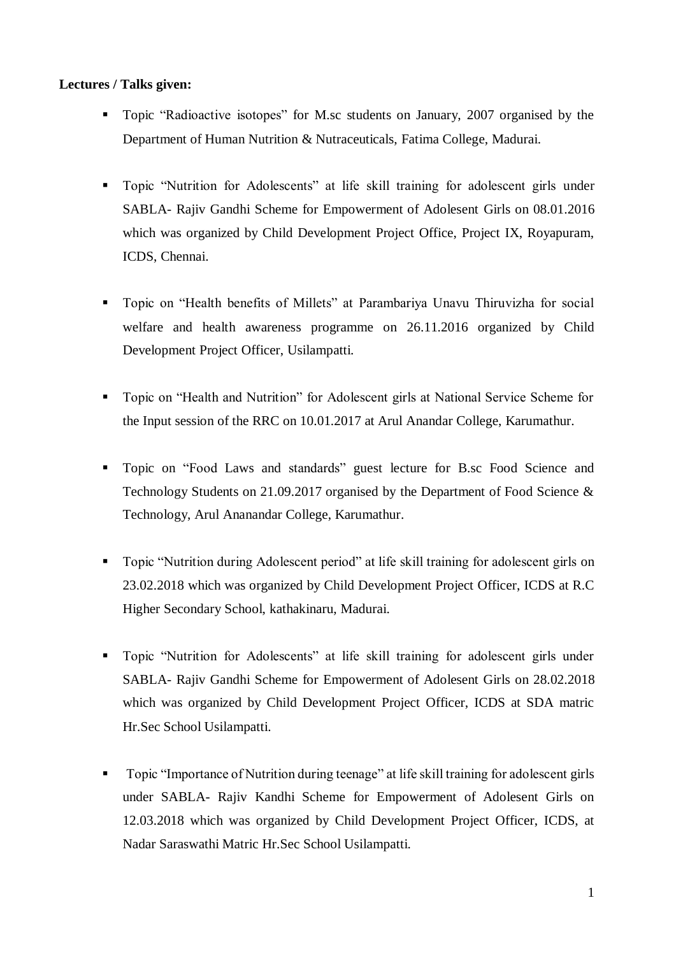### **Lectures / Talks given:**

- Topic "Radioactive isotopes" for M.sc students on January, 2007 organised by the Department of Human Nutrition & Nutraceuticals, Fatima College, Madurai.
- Topic "Nutrition for Adolescents" at life skill training for adolescent girls under SABLA- Rajiv Gandhi Scheme for Empowerment of Adolesent Girls on 08.01.2016 which was organized by Child Development Project Office, Project IX, Royapuram, ICDS, Chennai.
- Topic on "Health benefits of Millets" at Parambariya Unavu Thiruvizha for social welfare and health awareness programme on 26.11.2016 organized by Child Development Project Officer, Usilampatti.
- Topic on "Health and Nutrition" for Adolescent girls at National Service Scheme for the Input session of the RRC on 10.01.2017 at Arul Anandar College, Karumathur.
- **Topic on "Food Laws and standards" guest lecture for B.sc Food Science and** Technology Students on 21.09.2017 organised by the Department of Food Science & Technology, Arul Ananandar College, Karumathur.
- Topic "Nutrition during Adolescent period" at life skill training for adolescent girls on 23.02.2018 which was organized by Child Development Project Officer, ICDS at R.C Higher Secondary School, kathakinaru, Madurai.
- Topic "Nutrition for Adolescents" at life skill training for adolescent girls under SABLA- Rajiv Gandhi Scheme for Empowerment of Adolesent Girls on 28.02.2018 which was organized by Child Development Project Officer, ICDS at SDA matric Hr.Sec School Usilampatti.
- Topic "Importance of Nutrition during teenage" at life skill training for adolescent girls under SABLA- Rajiv Kandhi Scheme for Empowerment of Adolesent Girls on 12.03.2018 which was organized by Child Development Project Officer, ICDS, at Nadar Saraswathi Matric Hr.Sec School Usilampatti.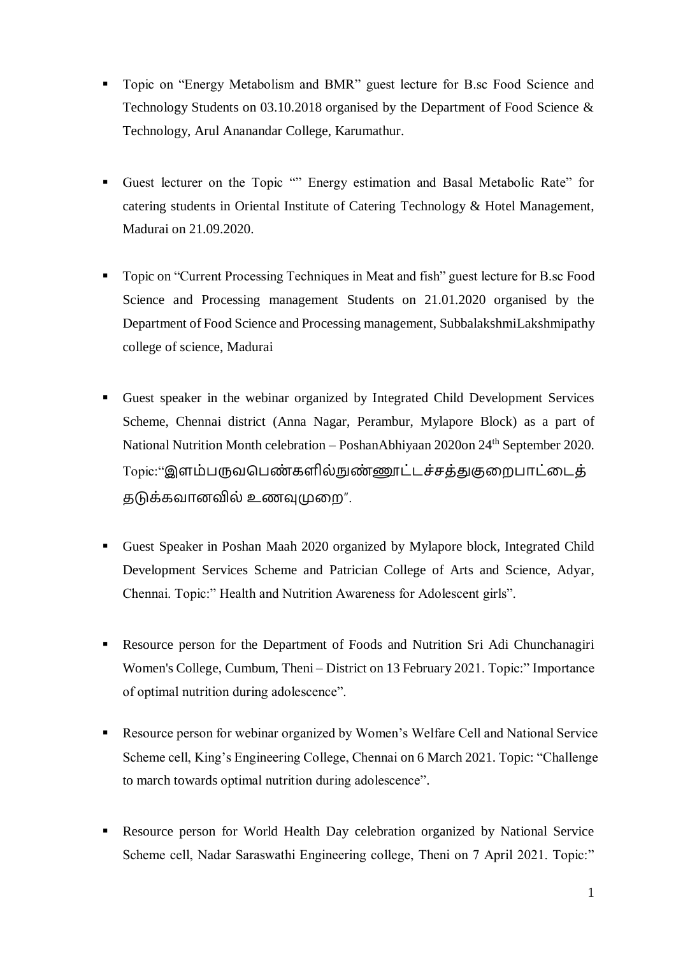- **Topic on "Energy Metabolism and BMR" guest lecture for B.sc Food Science and** Technology Students on 03.10.2018 organised by the Department of Food Science & Technology, Arul Ananandar College, Karumathur.
- Guest lecturer on the Topic "" Energy estimation and Basal Metabolic Rate" for catering students in Oriental Institute of Catering Technology & Hotel Management, Madurai on 21.09.2020.
- Topic on "Current Processing Techniques in Meat and fish" guest lecture for B.sc Food Science and Processing management Students on 21.01.2020 organised by the Department of Food Science and Processing management, SubbalakshmiLakshmipathy college of science, Madurai
- Guest speaker in the webinar organized by Integrated Child Development Services Scheme, Chennai district (Anna Nagar, Perambur, Mylapore Block) as a part of National Nutrition Month celebration – PoshanAbhiyaan 2020on 24<sup>th</sup> September 2020. Topic:"இளம்பருவபெண்களில்நுண்ணூட்டச்சக்துகுறைபாட்டைக் தடுக்கவோனவில் உணவுமுமை".
- Guest Speaker in Poshan Maah 2020 organized by Mylapore block, Integrated Child Development Services Scheme and Patrician College of Arts and Science, Adyar, Chennai. Topic:" Health and Nutrition Awareness for Adolescent girls".
- Resource person for the Department of Foods and Nutrition Sri Adi Chunchanagiri Women's College, Cumbum, Theni – District on 13 February 2021. Topic:" Importance of optimal nutrition during adolescence".
- Resource person for webinar organized by Women's Welfare Cell and National Service Scheme cell, King's Engineering College, Chennai on 6 March 2021. Topic: "Challenge to march towards optimal nutrition during adolescence".
- Resource person for World Health Day celebration organized by National Service Scheme cell, Nadar Saraswathi Engineering college, Theni on 7 April 2021. Topic:"